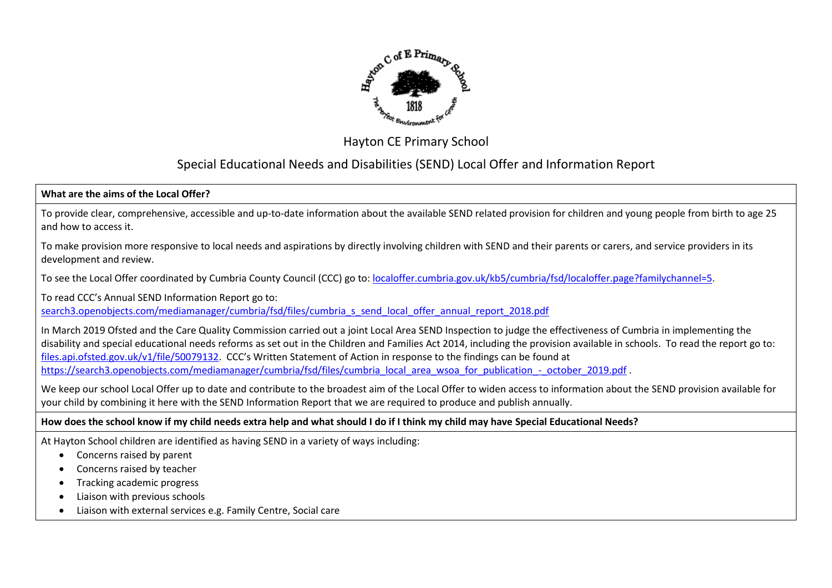

## Hayton CE Primary School

# Special Educational Needs and Disabilities (SEND) Local Offer and Information Report

## **What are the aims of the Local Offer?**

To provide clear, comprehensive, accessible and up-to-date information about the available SEND related provision for children and young people from birth to age 25 and how to access it.

To make provision more responsive to local needs and aspirations by directly involving children with SEND and their parents or carers, and service providers in its development and review.

To see the Local Offer coordinated by Cumbria County Council (CCC) go to: [localoffer.cumbria.gov.uk/kb5/cumbria/fsd/localoffer.page?familychannel=5.](https://localoffer.cumbria.gov.uk/kb5/cumbria/fsd/localoffer.page?familychannel=5)

To read CCC's Annual SEND Information Report go to:

search3.openobiects.com/mediamanager/cumbria/fsd/files/cumbria\_s\_send\_local\_offer\_annual\_report\_2018.pdf

In March 2019 Ofsted and the Care Quality Commission carried out a joint Local Area SEND Inspection to judge the effectiveness of Cumbria in implementing the disability and special educational needs reforms as set out in the Children and Families Act 2014, including the provision available in schools. To read the report go to: [files.api.ofsted.gov.uk/v1/file/50079132.](https://files.api.ofsted.gov.uk/v1/file/50079132) CCC's Written Statement of Action in response to the findings can be found at [https://search3.openobjects.com/mediamanager/cumbria/fsd/files/cumbria\\_local\\_area\\_wsoa\\_for\\_publication\\_-\\_october\\_2019.pdf](https://search3.openobjects.com/mediamanager/cumbria/fsd/files/cumbria_local_area_wsoa_for_publication_-_october_2019.pdf) .

We keep our school Local Offer up to date and contribute to the broadest aim of the Local Offer to widen access to information about the SEND provision available for your child by combining it here with the SEND Information Report that we are required to produce and publish annually.

#### **How does the school know if my child needs extra help and what should I do if I think my child may have Special Educational Needs?**

At Hayton School children are identified as having SEND in a variety of ways including:

- Concerns raised by parent
- Concerns raised by teacher
- Tracking academic progress
- Liaison with previous schools
- Liaison with external services e.g. Family Centre, Social care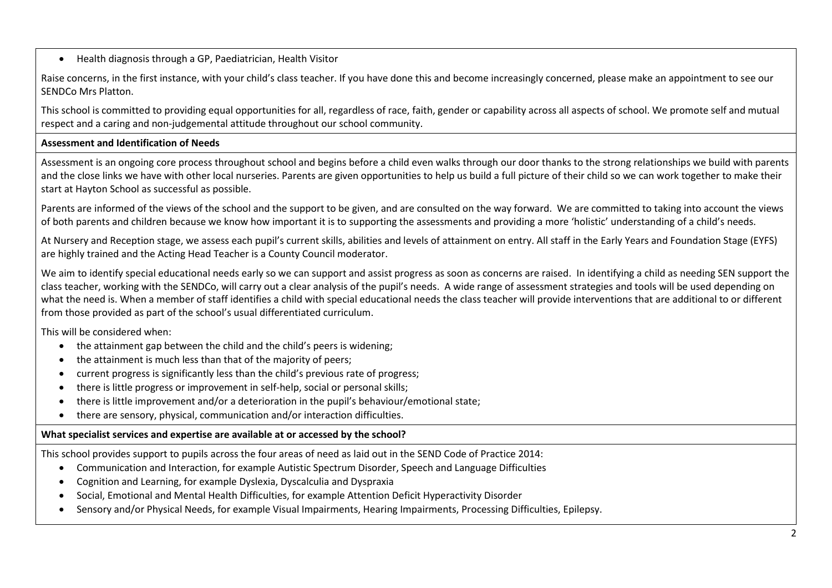• Health diagnosis through a GP, Paediatrician, Health Visitor

Raise concerns, in the first instance, with your child's class teacher. If you have done this and become increasingly concerned, please make an appointment to see our SENDCo Mrs Platton.

This school is committed to providing equal opportunities for all, regardless of race, faith, gender or capability across all aspects of school. We promote self and mutual respect and a caring and non-judgemental attitude throughout our school community.

## **Assessment and Identification of Needs**

Assessment is an ongoing core process throughout school and begins before a child even walks through our door thanks to the strong relationships we build with parents and the close links we have with other local nurseries. Parents are given opportunities to help us build a full picture of their child so we can work together to make their start at Hayton School as successful as possible.

Parents are informed of the views of the school and the support to be given, and are consulted on the way forward. We are committed to taking into account the views of both parents and children because we know how important it is to supporting the assessments and providing a more 'holistic' understanding of a child's needs.

At Nursery and Reception stage, we assess each pupil's current skills, abilities and levels of attainment on entry. All staff in the Early Years and Foundation Stage (EYFS) are highly trained and the Acting Head Teacher is a County Council moderator.

We aim to identify special educational needs early so we can support and assist progress as soon as concerns are raised. In identifying a child as needing SEN support the class teacher, working with the SENDCo, will carry out a clear analysis of the pupil's needs. A wide range of assessment strategies and tools will be used depending on what the need is. When a member of staff identifies a child with special educational needs the class teacher will provide interventions that are additional to or different from those provided as part of the school's usual differentiated curriculum.

This will be considered when:

- the attainment gap between the child and the child's peers is widening;
- the attainment is much less than that of the majority of peers;
- current progress is significantly less than the child's previous rate of progress;
- there is little progress or improvement in self-help, social or personal skills;
- there is little improvement and/or a deterioration in the pupil's behaviour/emotional state;
- there are sensory, physical, communication and/or interaction difficulties.

#### **What specialist services and expertise are available at or accessed by the school?**

This school provides support to pupils across the four areas of need as laid out in the SEND Code of Practice 2014:

- Communication and Interaction, for example Autistic Spectrum Disorder, Speech and Language Difficulties
- Cognition and Learning, for example Dyslexia, Dyscalculia and Dyspraxia
- Social, Emotional and Mental Health Difficulties, for example Attention Deficit Hyperactivity Disorder
- Sensory and/or Physical Needs, for example Visual Impairments, Hearing Impairments, Processing Difficulties, Epilepsy.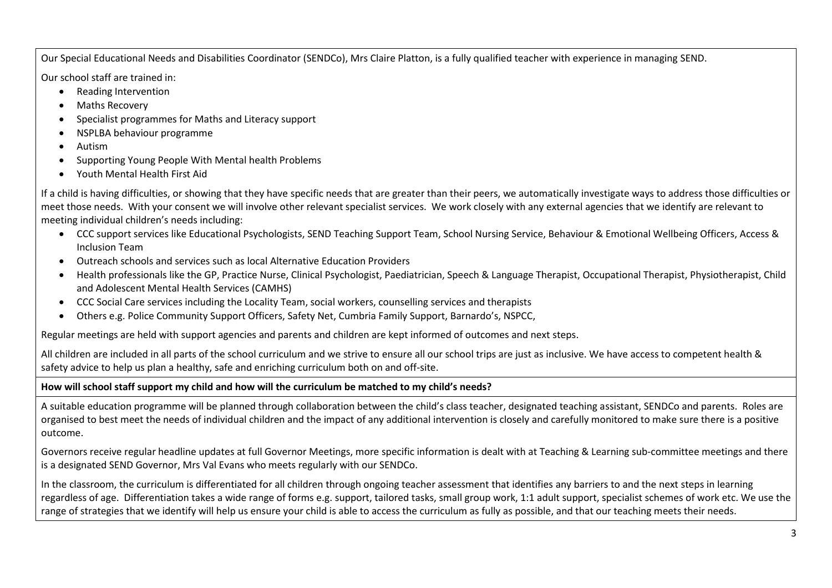Our Special Educational Needs and Disabilities Coordinator (SENDCo), Mrs Claire Platton, is a fully qualified teacher with experience in managing SEND.

Our school staff are trained in:

- Reading Intervention
- Maths Recovery
- Specialist programmes for Maths and Literacy support
- NSPLBA behaviour programme
- Autism
- Supporting Young People With Mental health Problems
- Youth Mental Health First Aid

If a child is having difficulties, or showing that they have specific needs that are greater than their peers, we automatically investigate ways to address those difficulties or meet those needs. With your consent we will involve other relevant specialist services. We work closely with any external agencies that we identify are relevant to meeting individual children's needs including:

- CCC support services like Educational Psychologists, SEND Teaching Support Team, School Nursing Service, Behaviour & Emotional Wellbeing Officers, Access & Inclusion Team
- Outreach schools and services such as local Alternative Education Providers
- Health professionals like the GP, Practice Nurse, Clinical Psychologist, Paediatrician, Speech & Language Therapist, Occupational Therapist, Physiotherapist, Child and Adolescent Mental Health Services (CAMHS)
- CCC Social Care services including the Locality Team, social workers, counselling services and therapists
- Others e.g. Police Community Support Officers, Safety Net, Cumbria Family Support, Barnardo's, NSPCC,

Regular meetings are held with support agencies and parents and children are kept informed of outcomes and next steps.

All children are included in all parts of the school curriculum and we strive to ensure all our school trips are just as inclusive. We have access to competent health & safety advice to help us plan a healthy, safe and enriching curriculum both on and off-site.

## **How will school staff support my child and how will the curriculum be matched to my child's needs?**

A suitable education programme will be planned through collaboration between the child's class teacher, designated teaching assistant, SENDCo and parents. Roles are organised to best meet the needs of individual children and the impact of any additional intervention is closely and carefully monitored to make sure there is a positive outcome.

Governors receive regular headline updates at full Governor Meetings, more specific information is dealt with at Teaching & Learning sub-committee meetings and there is a designated SEND Governor, Mrs Val Evans who meets regularly with our SENDCo.

In the classroom, the curriculum is differentiated for all children through ongoing teacher assessment that identifies any barriers to and the next steps in learning regardless of age. Differentiation takes a wide range of forms e.g. support, tailored tasks, small group work, 1:1 adult support, specialist schemes of work etc. We use the range of strategies that we identify will help us ensure your child is able to access the curriculum as fully as possible, and that our teaching meets their needs.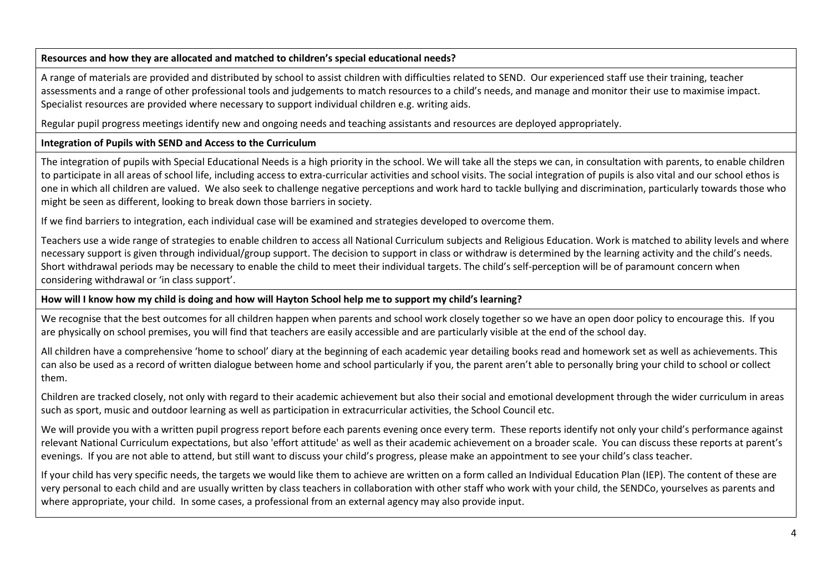#### **Resources and how they are allocated and matched to children's special educational needs?**

A range of materials are provided and distributed by school to assist children with difficulties related to SEND. Our experienced staff use their training, teacher assessments and a range of other professional tools and judgements to match resources to a child's needs, and manage and monitor their use to maximise impact. Specialist resources are provided where necessary to support individual children e.g. writing aids.

Regular pupil progress meetings identify new and ongoing needs and teaching assistants and resources are deployed appropriately.

## **Integration of Pupils with SEND and Access to the Curriculum**

The integration of pupils with Special Educational Needs is a high priority in the school. We will take all the steps we can, in consultation with parents, to enable children to participate in all areas of school life, including access to extra-curricular activities and school visits. The social integration of pupils is also vital and our school ethos is one in which all children are valued. We also seek to challenge negative perceptions and work hard to tackle bullying and discrimination, particularly towards those who might be seen as different, looking to break down those barriers in society.

If we find barriers to integration, each individual case will be examined and strategies developed to overcome them.

Teachers use a wide range of strategies to enable children to access all National Curriculum subjects and Religious Education. Work is matched to ability levels and where necessary support is given through individual/group support. The decision to support in class or withdraw is determined by the learning activity and the child's needs. Short withdrawal periods may be necessary to enable the child to meet their individual targets. The child's self-perception will be of paramount concern when considering withdrawal or 'in class support'.

#### **How will I know how my child is doing and how will Hayton School help me to support my child's learning?**

We recognise that the best outcomes for all children happen when parents and school work closely together so we have an open door policy to encourage this. If you are physically on school premises, you will find that teachers are easily accessible and are particularly visible at the end of the school day.

All children have a comprehensive 'home to school' diary at the beginning of each academic year detailing books read and homework set as well as achievements. This can also be used as a record of written dialogue between home and school particularly if you, the parent aren't able to personally bring your child to school or collect them.

Children are tracked closely, not only with regard to their academic achievement but also their social and emotional development through the wider curriculum in areas such as sport, music and outdoor learning as well as participation in extracurricular activities, the School Council etc.

We will provide you with a written pupil progress report before each parents evening once every term. These reports identify not only your child's performance against relevant National Curriculum expectations, but also 'effort attitude' as well as their academic achievement on a broader scale. You can discuss these reports at parent's evenings. If you are not able to attend, but still want to discuss your child's progress, please make an appointment to see your child's class teacher.

If your child has very specific needs, the targets we would like them to achieve are written on a form called an Individual Education Plan (IEP). The content of these are very personal to each child and are usually written by class teachers in collaboration with other staff who work with your child, the SENDCo, yourselves as parents and where appropriate, your child. In some cases, a professional from an external agency may also provide input.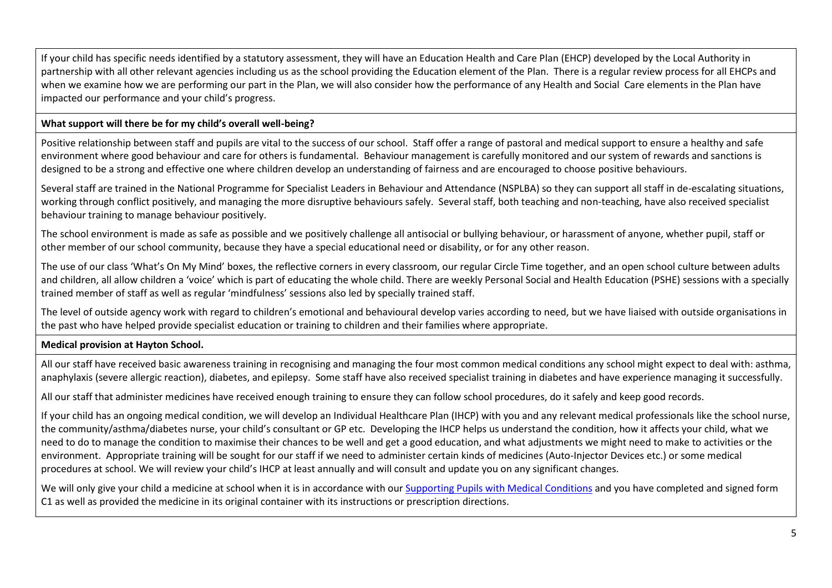If your child has specific needs identified by a statutory assessment, they will have an Education Health and Care Plan (EHCP) developed by the Local Authority in partnership with all other relevant agencies including us as the school providing the Education element of the Plan. There is a regular review process for all EHCPs and when we examine how we are performing our part in the Plan, we will also consider how the performance of any Health and Social Care elements in the Plan have impacted our performance and your child's progress.

## **What support will there be for my child's overall well-being?**

Positive relationship between staff and pupils are vital to the success of our school. Staff offer a range of pastoral and medical support to ensure a healthy and safe environment where good behaviour and care for others is fundamental. Behaviour management is carefully monitored and our system of rewards and sanctions is designed to be a strong and effective one where children develop an understanding of fairness and are encouraged to choose positive behaviours.

Several staff are trained in the National Programme for Specialist Leaders in Behaviour and Attendance (NSPLBA) so they can support all staff in de-escalating situations, working through conflict positively, and managing the more disruptive behaviours safely. Several staff, both teaching and non-teaching, have also received specialist behaviour training to manage behaviour positively.

The school environment is made as safe as possible and we positively challenge all antisocial or bullying behaviour, or harassment of anyone, whether pupil, staff or other member of our school community, because they have a special educational need or disability, or for any other reason.

The use of our class 'What's On My Mind' boxes, the reflective corners in every classroom, our regular Circle Time together, and an open school culture between adults and children, all allow children a 'voice' which is part of educating the whole child. There are weekly Personal Social and Health Education (PSHE) sessions with a specially trained member of staff as well as regular 'mindfulness' sessions also led by specially trained staff.

The level of outside agency work with regard to children's emotional and behavioural develop varies according to need, but we have liaised with outside organisations in the past who have helped provide specialist education or training to children and their families where appropriate.

## **Medical provision at Hayton School.**

All our staff have received basic awareness training in recognising and managing the four most common medical conditions any school might expect to deal with: asthma, anaphylaxis (severe allergic reaction), diabetes, and epilepsy. Some staff have also received specialist training in diabetes and have experience managing it successfully.

All our staff that administer medicines have received enough training to ensure they can follow school procedures, do it safely and keep good records.

If your child has an ongoing medical condition, we will develop an Individual Healthcare Plan (IHCP) with you and any relevant medical professionals like the school nurse, the community/asthma/diabetes nurse, your child's consultant or GP etc. Developing the IHCP helps us understand the condition, how it affects your child, what we need to do to manage the condition to maximise their chances to be well and get a good education, and what adjustments we might need to make to activities or the environment. Appropriate training will be sought for our staff if we need to administer certain kinds of medicines (Auto-Injector Devices etc.) or some medical procedures at school. We will review your child's IHCP at least annually and will consult and update you on any significant changes.

We will only give your child a medicine at school when it is in accordance with our [Supporting Pupils with Medical Conditions](https://www.hayton.cumbria.sch.uk/uploads/1934/Supporting_Pupils_with_Medical_Conditions.pdf.html) and you have completed and signed form C1 as well as provided the medicine in its original container with its instructions or prescription directions.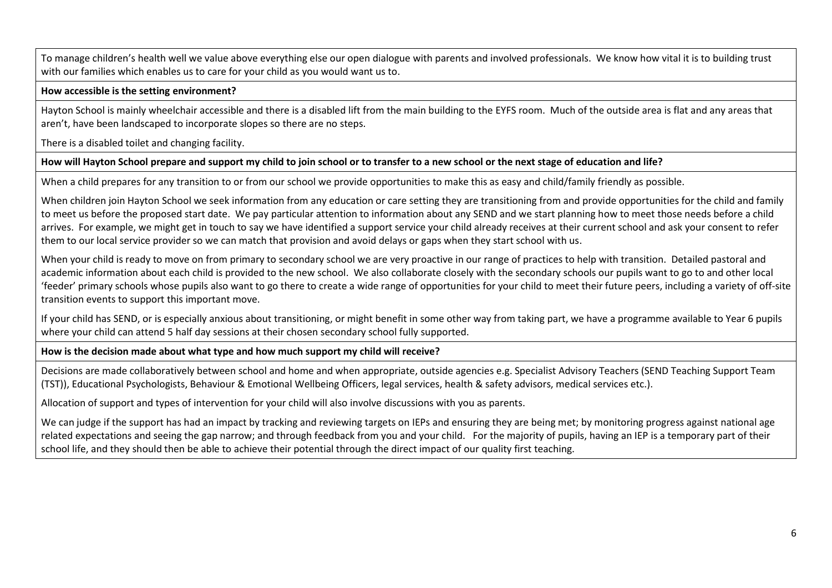To manage children's health well we value above everything else our open dialogue with parents and involved professionals. We know how vital it is to building trust with our families which enables us to care for your child as you would want us to.

#### **How accessible is the setting environment?**

Hayton School is mainly wheelchair accessible and there is a disabled lift from the main building to the EYFS room. Much of the outside area is flat and any areas that aren't, have been landscaped to incorporate slopes so there are no steps.

There is a disabled toilet and changing facility.

#### **How will Hayton School prepare and support my child to join school or to transfer to a new school or the next stage of education and life?**

When a child prepares for any transition to or from our school we provide opportunities to make this as easy and child/family friendly as possible.

When children join Hayton School we seek information from any education or care setting they are transitioning from and provide opportunities for the child and family to meet us before the proposed start date. We pay particular attention to information about any SEND and we start planning how to meet those needs before a child arrives. For example, we might get in touch to say we have identified a support service your child already receives at their current school and ask your consent to refer them to our local service provider so we can match that provision and avoid delays or gaps when they start school with us.

When your child is ready to move on from primary to secondary school we are very proactive in our range of practices to help with transition. Detailed pastoral and academic information about each child is provided to the new school. We also collaborate closely with the secondary schools our pupils want to go to and other local 'feeder' primary schools whose pupils also want to go there to create a wide range of opportunities for your child to meet their future peers, including a variety of off-site transition events to support this important move.

If your child has SEND, or is especially anxious about transitioning, or might benefit in some other way from taking part, we have a programme available to Year 6 pupils where your child can attend 5 half day sessions at their chosen secondary school fully supported.

#### **How is the decision made about what type and how much support my child will receive?**

Decisions are made collaboratively between school and home and when appropriate, outside agencies e.g. Specialist Advisory Teachers (SEND Teaching Support Team (TST)), Educational Psychologists, Behaviour & Emotional Wellbeing Officers, legal services, health & safety advisors, medical services etc.).

Allocation of support and types of intervention for your child will also involve discussions with you as parents.

We can judge if the support has had an impact by tracking and reviewing targets on IEPs and ensuring they are being met; by monitoring progress against national age related expectations and seeing the gap narrow; and through feedback from you and your child. For the majority of pupils, having an IEP is a temporary part of their school life, and they should then be able to achieve their potential through the direct impact of our quality first teaching.